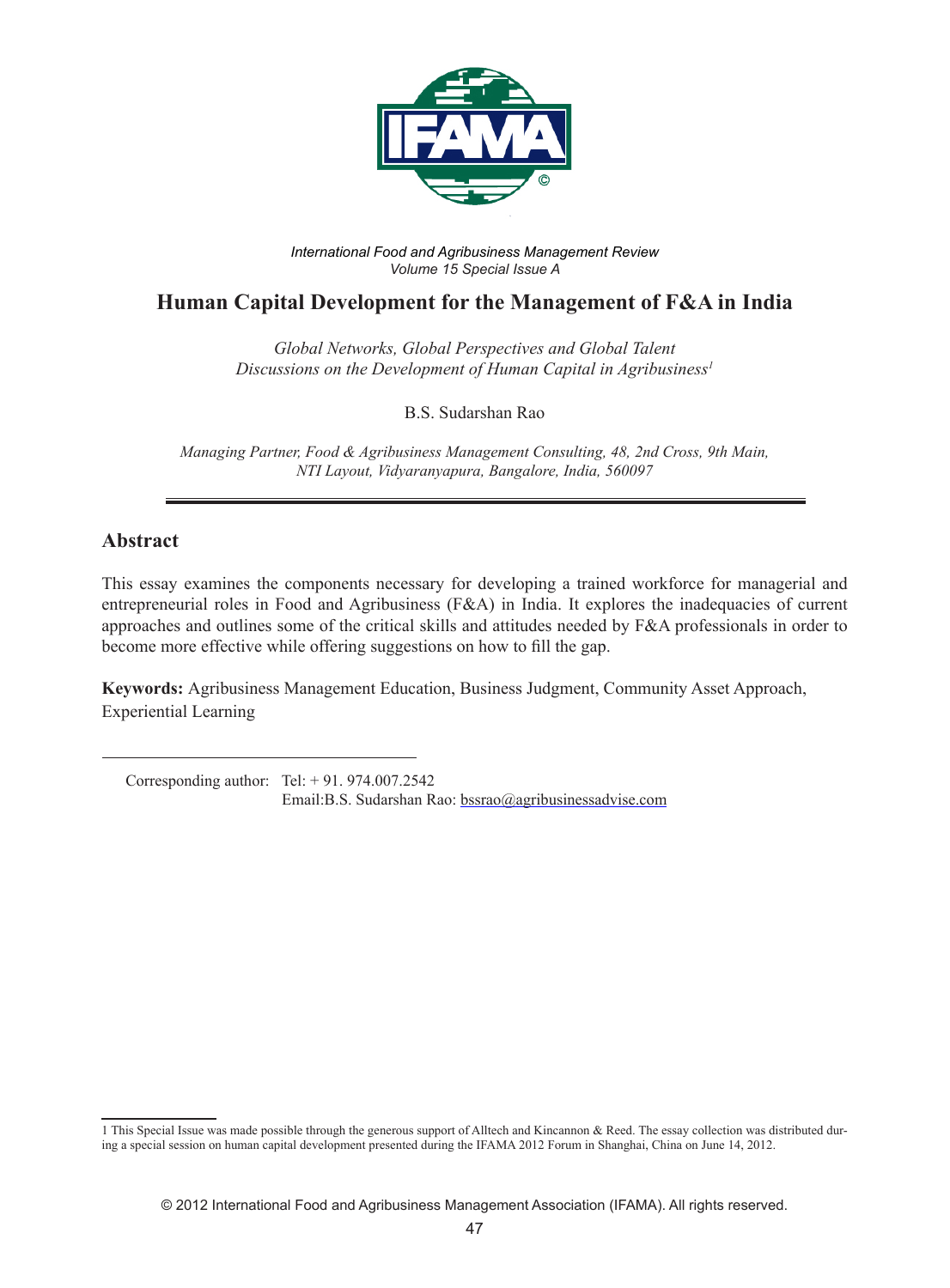

*International Food and Agribusiness Management Review Volume 15 Special Issue A*

# **Human Capital Development for the Management of F&A in India**

*Global Networks, Global Perspectives and Global Talent Discussions on the Development of Human Capital in Agribusiness1*

B.S. Sudarshan Rao

*Managing Partner, Food & Agribusiness Management Consulting, 48, 2nd Cross, 9th Main, NTI Layout, Vidyaranyapura, Bangalore, India, 560097*

## **Abstract**

This essay examines the components necessary for developing a trained workforce for managerial and entrepreneurial roles in Food and Agribusiness (F&A) in India. It explores the inadequacies of current approaches and outlines some of the critical skills and attitudes needed by F&A professionals in order to become more effective while offering suggestions on how to fill the gap.

**Keywords:** Agribusiness Management Education, Business Judgment, Community Asset Approach, Experiential Learning

 Corresponding author: Tel: + 91. 974.007.2542 Email:B.S. Sudarshan Rao: bssrao@agribusinessadvise.com

<sup>1</sup> This Special Issue was made possible through the generous support of Alltech and Kincannon & Reed. The essay collection was distributed during a special session on human capital development presented during the IFAMA 2012 Forum in Shanghai, China on June 14, 2012.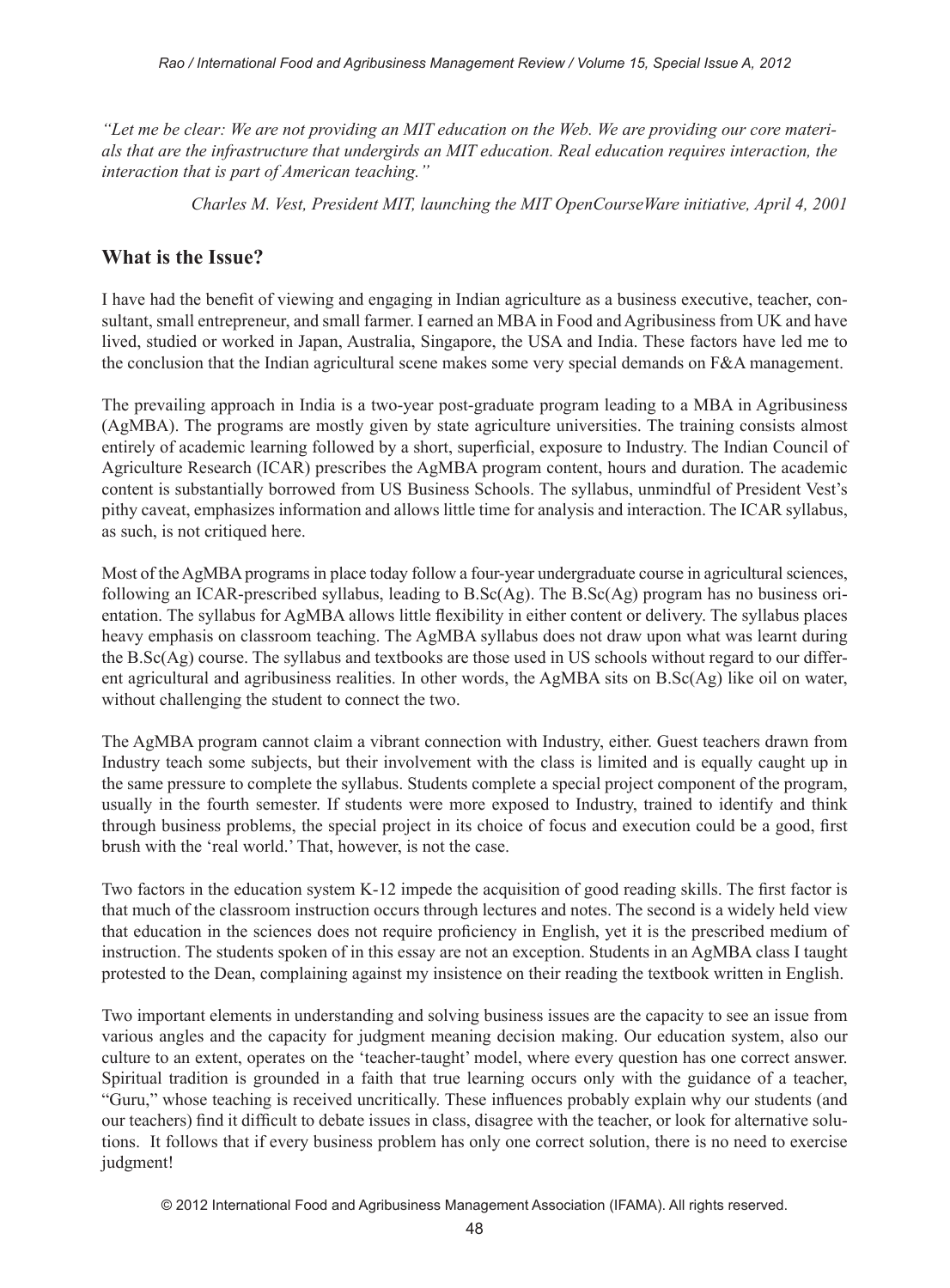*"Let me be clear: We are not providing an MIT education on the Web. We are providing our core materials that are the infrastructure that undergirds an MIT education. Real education requires interaction, the interaction that is part of American teaching."* 

*Charles M. Vest, President MIT, launching the MIT OpenCourseWare initiative, April 4, 2001*

## **What is the Issue?**

I have had the benefit of viewing and engaging in Indian agriculture as a business executive, teacher, consultant, small entrepreneur, and small farmer. I earned an MBA in Food and Agribusiness from UK and have lived, studied or worked in Japan, Australia, Singapore, the USA and India. These factors have led me to the conclusion that the Indian agricultural scene makes some very special demands on F&A management.

The prevailing approach in India is a two-year post-graduate program leading to a MBA in Agribusiness (AgMBA). The programs are mostly given by state agriculture universities. The training consists almost entirely of academic learning followed by a short, superficial, exposure to Industry. The Indian Council of Agriculture Research (ICAR) prescribes the AgMBA program content, hours and duration. The academic content is substantially borrowed from US Business Schools. The syllabus, unmindful of President Vest's pithy caveat, emphasizes information and allows little time for analysis and interaction. The ICAR syllabus, as such, is not critiqued here.

Most of the AgMBA programs in place today follow a four-year undergraduate course in agricultural sciences, following an ICAR-prescribed syllabus, leading to  $B.Sc(Ag)$ . The  $B.Sc(Ag)$  program has no business orientation. The syllabus for AgMBA allows little flexibility in either content or delivery. The syllabus places heavy emphasis on classroom teaching. The AgMBA syllabus does not draw upon what was learnt during the B.Sc(Ag) course. The syllabus and textbooks are those used in US schools without regard to our different agricultural and agribusiness realities. In other words, the AgMBA sits on B.Sc(Ag) like oil on water, without challenging the student to connect the two.

The AgMBA program cannot claim a vibrant connection with Industry, either. Guest teachers drawn from Industry teach some subjects, but their involvement with the class is limited and is equally caught up in the same pressure to complete the syllabus. Students complete a special project component of the program, usually in the fourth semester. If students were more exposed to Industry, trained to identify and think through business problems, the special project in its choice of focus and execution could be a good, first brush with the 'real world.' That, however, is not the case.

Two factors in the education system K-12 impede the acquisition of good reading skills. The first factor is that much of the classroom instruction occurs through lectures and notes. The second is a widely held view that education in the sciences does not require proficiency in English, yet it is the prescribed medium of instruction. The students spoken of in this essay are not an exception. Students in an AgMBA class I taught protested to the Dean, complaining against my insistence on their reading the textbook written in English.

Two important elements in understanding and solving business issues are the capacity to see an issue from various angles and the capacity for judgment meaning decision making. Our education system, also our culture to an extent, operates on the 'teacher-taught' model, where every question has one correct answer. Spiritual tradition is grounded in a faith that true learning occurs only with the guidance of a teacher, "Guru," whose teaching is received uncritically. These influences probably explain why our students (and our teachers) find it difficult to debate issues in class, disagree with the teacher, or look for alternative solutions. It follows that if every business problem has only one correct solution, there is no need to exercise judgment!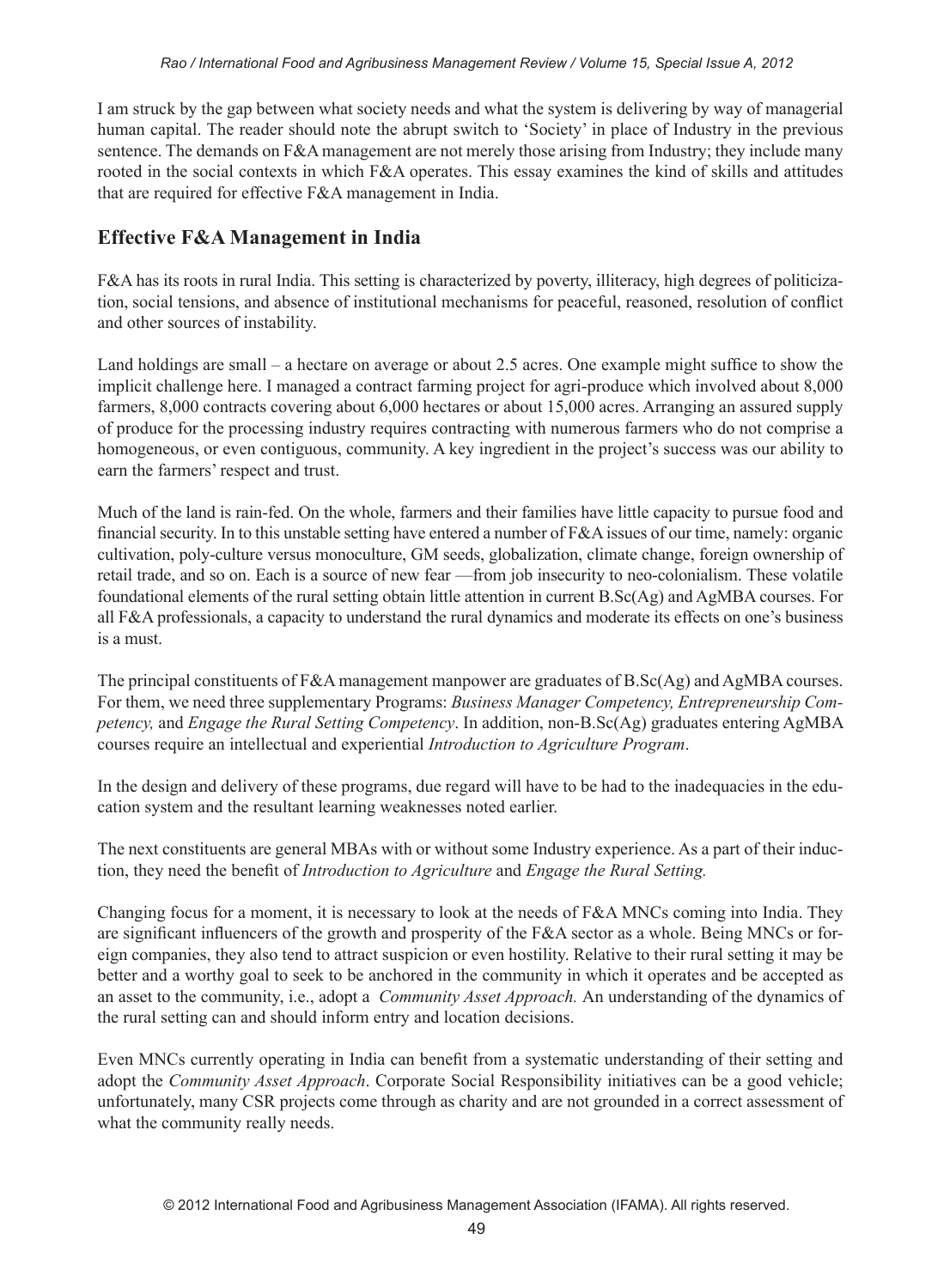I am struck by the gap between what society needs and what the system is delivering by way of managerial human capital. The reader should note the abrupt switch to 'Society' in place of Industry in the previous sentence. The demands on F&A management are not merely those arising from Industry; they include many rooted in the social contexts in which F&A operates. This essay examines the kind of skills and attitudes that are required for effective F&A management in India.

## **Effective F&A Management in India**

F&A has its roots in rural India. This setting is characterized by poverty, illiteracy, high degrees of politicization, social tensions, and absence of institutional mechanisms for peaceful, reasoned, resolution of conflict and other sources of instability.

Land holdings are small – a hectare on average or about 2.5 acres. One example might suffice to show the implicit challenge here. I managed a contract farming project for agri-produce which involved about 8,000 farmers, 8,000 contracts covering about 6,000 hectares or about 15,000 acres. Arranging an assured supply of produce for the processing industry requires contracting with numerous farmers who do not comprise a homogeneous, or even contiguous, community. A key ingredient in the project's success was our ability to earn the farmers' respect and trust.

Much of the land is rain-fed. On the whole, farmers and their families have little capacity to pursue food and financial security. In to this unstable setting have entered a number of F&A issues of our time, namely: organic cultivation, poly-culture versus monoculture, GM seeds, globalization, climate change, foreign ownership of retail trade, and so on. Each is a source of new fear —from job insecurity to neo-colonialism. These volatile foundational elements of the rural setting obtain little attention in current B.Sc(Ag) and AgMBA courses. For all F&A professionals, a capacity to understand the rural dynamics and moderate its effects on one's business is a must.

The principal constituents of F&A management manpower are graduates of B.Sc(Ag) and AgMBA courses. For them, we need three supplementary Programs: *Business Manager Competency, Entrepreneurship Competency,* and *Engage the Rural Setting Competency*. In addition, non-B.Sc(Ag) graduates entering AgMBA courses require an intellectual and experiential *Introduction to Agriculture Program*.

In the design and delivery of these programs, due regard will have to be had to the inadequacies in the education system and the resultant learning weaknesses noted earlier.

The next constituents are general MBAs with or without some Industry experience. As a part of their induction, they need the benefit of *Introduction to Agriculture* and *Engage the Rural Setting.*

Changing focus for a moment, it is necessary to look at the needs of F&A MNCs coming into India. They are significant influencers of the growth and prosperity of the F&A sector as a whole. Being MNCs or foreign companies, they also tend to attract suspicion or even hostility. Relative to their rural setting it may be better and a worthy goal to seek to be anchored in the community in which it operates and be accepted as an asset to the community, i.e., adopt a *Community Asset Approach.* An understanding of the dynamics of the rural setting can and should inform entry and location decisions.

Even MNCs currently operating in India can benefit from a systematic understanding of their setting and adopt the *Community Asset Approach*. Corporate Social Responsibility initiatives can be a good vehicle; unfortunately, many CSR projects come through as charity and are not grounded in a correct assessment of what the community really needs.